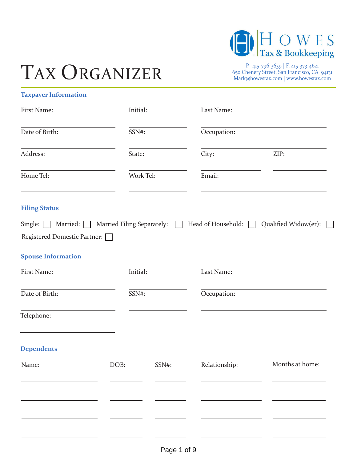

# TAX ORGANIZER

650 Chenery Street, San Francisco, CA 94131 Mark@howestax.com | www.howestax.com

| <b>Taxpayer Information</b> |  |
|-----------------------------|--|
|-----------------------------|--|

| First Name:                                                                                                                                                             | Initial:  |       | Last Name:    |                 |
|-------------------------------------------------------------------------------------------------------------------------------------------------------------------------|-----------|-------|---------------|-----------------|
| Date of Birth:                                                                                                                                                          | SSN#:     |       | Occupation:   |                 |
| Address:                                                                                                                                                                | State:    |       | City:         | ZIP:            |
| Home Tel:                                                                                                                                                               | Work Tel: |       | Email:        |                 |
| <b>Filing Status</b><br>Single: $\Box$ Married: $\Box$ Married Filing Separately: $\Box$ Head of Household: $\Box$ Qualified Widow(er):<br>Registered Domestic Partner: |           |       |               |                 |
| <b>Spouse Information</b>                                                                                                                                               |           |       |               |                 |
| First Name:                                                                                                                                                             | Initial:  |       | Last Name:    |                 |
| Date of Birth:                                                                                                                                                          | SSN#:     |       | Occupation:   |                 |
| Telephone:                                                                                                                                                              |           |       |               |                 |
| <b>Dependents</b>                                                                                                                                                       |           |       |               |                 |
| Name:                                                                                                                                                                   | DOB:      | SSN#: | Relationship: | Months at home: |
|                                                                                                                                                                         |           |       |               |                 |
|                                                                                                                                                                         |           |       |               |                 |
|                                                                                                                                                                         |           |       |               |                 |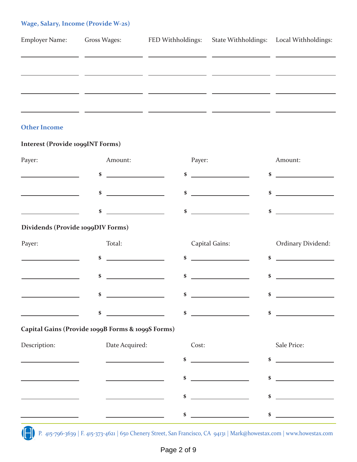# **Wage, Salary, Income (Provide W-2s)**

| <b>Employer Name:</b> | Gross Wages: | FED Withholdings: | State Withholdings: Local Withholdings: |
|-----------------------|--------------|-------------------|-----------------------------------------|
|                       |              |                   |                                         |
|                       |              |                   |                                         |
|                       |              |                   |                                         |
|                       |              |                   |                                         |
|                       |              |                   |                                         |

## **Other Income**

## **Interest (Provide 1099INT Forms)**

| Payer:                                     | Amount:                                                                                                                      | Payer:                                                                                                                      | Amount:                                                                                                                                                                                                                                                |
|--------------------------------------------|------------------------------------------------------------------------------------------------------------------------------|-----------------------------------------------------------------------------------------------------------------------------|--------------------------------------------------------------------------------------------------------------------------------------------------------------------------------------------------------------------------------------------------------|
|                                            | \$<br><u> 1990 - Johann Barbara, politik eta politika</u>                                                                    | <u> 1990 - Johann Barbara, mart</u><br>\$                                                                                   | \$<br>$\mathcal{L}(\mathcal{L}(\mathcal{L}))$ . The contract of the set of the set of the set of the set of the set of the set of the set of the set of the set of the set of the set of the set of the set of the set of the set of the set of the se |
|                                            | \$<br><u> 1999 - John Stone, Amerikan besteht der Stone (</u>                                                                | \$<br><u> 1980 - Andrea Station Books, amerikansk politik (d. 1980)</u>                                                     | \$<br><u> The Communication of the Communication of the Communication of the Communication of the Communication of the Co</u>                                                                                                                          |
|                                            | <u> 1990 - Johann Barbara, martin a</u><br>\$                                                                                | \$<br><u> Liston de la construcción de la construcción de la construcción de la construcción de la construcción de la c</u> | $\sim$                                                                                                                                                                                                                                                 |
| Dividends (Provide 1099DIV Forms)          |                                                                                                                              |                                                                                                                             |                                                                                                                                                                                                                                                        |
| Payer:                                     | Total:                                                                                                                       | Capital Gains:                                                                                                              | <b>Ordinary Dividend:</b>                                                                                                                                                                                                                              |
| <u> 1990 - Johann Barbara, martin eta </u> | <u> 1990 - John Stone, mars and de la partie de la partie de la partie de la partie de la partie de la partie de l</u><br>\$ | <u> Albanya (Albanya)</u><br>\$                                                                                             | <u> Albanya (Albanya)</u><br>\$                                                                                                                                                                                                                        |
|                                            | \$<br><u> 1989 - Johann Barnett, fransk politiker (</u>                                                                      | \$                                                                                                                          | \$                                                                                                                                                                                                                                                     |
|                                            | <u> 1990 - Johann Barbara, mart</u><br>\$                                                                                    | <u> 1990 - John Barn Barn, amerikan b</u><br>\$                                                                             | <u> 1990 - Johann Barbara, martin a</u><br>\$                                                                                                                                                                                                          |
|                                            | \$<br>and the control of the control of                                                                                      | <u> 1990 - Jan Alexandria (h. 1980).</u><br>\$                                                                              | <u> 1990 - Jan Barbara Barbara, manazarta </u><br>\$                                                                                                                                                                                                   |
|                                            | Capital Gains (Provide 1099B Forms & 1099S Forms)                                                                            |                                                                                                                             |                                                                                                                                                                                                                                                        |
| Description:                               | Date Acquired:                                                                                                               | Cost:                                                                                                                       | Sale Price:                                                                                                                                                                                                                                            |
|                                            |                                                                                                                              | <u> 1989 - Jan Stein Stein Stein Stein Stein Stein Stein Stein Stein Stein Stein Stein Stein Stein Stein Stein S</u><br>\$  | \$                                                                                                                                                                                                                                                     |
|                                            |                                                                                                                              | \$                                                                                                                          | \$                                                                                                                                                                                                                                                     |
|                                            |                                                                                                                              | \$                                                                                                                          | \$                                                                                                                                                                                                                                                     |
|                                            |                                                                                                                              | \$                                                                                                                          | <u> 1990 - Jan Alexandro III, politik politik (</u><br>\$                                                                                                                                                                                              |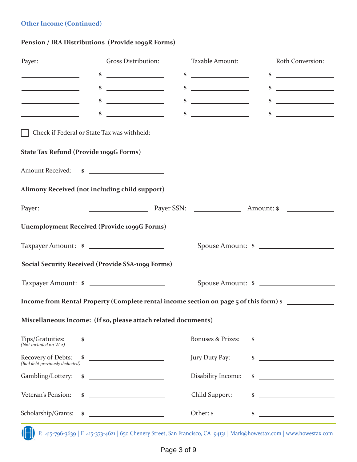# **Other Income (Continued)**

# **Pension / IRA Distributions (Provide 1099R Forms)**

| <b>Gross Distribution:</b>                                                                                                                                                                                                                                                                                          | Taxable Amount:              | Roth Conversion:                                                                                                                                                                                                                                                                                                                                                                                                                                                                                              |
|---------------------------------------------------------------------------------------------------------------------------------------------------------------------------------------------------------------------------------------------------------------------------------------------------------------------|------------------------------|---------------------------------------------------------------------------------------------------------------------------------------------------------------------------------------------------------------------------------------------------------------------------------------------------------------------------------------------------------------------------------------------------------------------------------------------------------------------------------------------------------------|
| <u> The Common State Common</u>                                                                                                                                                                                                                                                                                     |                              | $\frac{1}{2}$ $\frac{1}{2}$ $\frac{1}{2}$ $\frac{1}{2}$ $\frac{1}{2}$ $\frac{1}{2}$ $\frac{1}{2}$ $\frac{1}{2}$ $\frac{1}{2}$ $\frac{1}{2}$ $\frac{1}{2}$ $\frac{1}{2}$ $\frac{1}{2}$ $\frac{1}{2}$ $\frac{1}{2}$ $\frac{1}{2}$ $\frac{1}{2}$ $\frac{1}{2}$ $\frac{1}{2}$ $\frac{1}{2}$ $\frac{1}{2}$ $\frac{1}{2}$                                                                                                                                                                                           |
| $\sim$                                                                                                                                                                                                                                                                                                              |                              | $\sim$                                                                                                                                                                                                                                                                                                                                                                                                                                                                                                        |
| <u> 1999 - Johann Barbara, martin basa</u><br>\$                                                                                                                                                                                                                                                                    |                              | $\sim$                                                                                                                                                                                                                                                                                                                                                                                                                                                                                                        |
| <u> 1999 - John Stone, mars et al.</u>                                                                                                                                                                                                                                                                              |                              | $\sim$                                                                                                                                                                                                                                                                                                                                                                                                                                                                                                        |
| Check if Federal or State Tax was withheld:                                                                                                                                                                                                                                                                         |                              |                                                                                                                                                                                                                                                                                                                                                                                                                                                                                                               |
| <b>State Tax Refund (Provide 1099G Forms)</b>                                                                                                                                                                                                                                                                       |                              |                                                                                                                                                                                                                                                                                                                                                                                                                                                                                                               |
| Amount Received: \$                                                                                                                                                                                                                                                                                                 |                              |                                                                                                                                                                                                                                                                                                                                                                                                                                                                                                               |
| Alimony Received (not including child support)                                                                                                                                                                                                                                                                      |                              |                                                                                                                                                                                                                                                                                                                                                                                                                                                                                                               |
|                                                                                                                                                                                                                                                                                                                     |                              |                                                                                                                                                                                                                                                                                                                                                                                                                                                                                                               |
| <b>Unemployment Received (Provide 1099G Forms)</b>                                                                                                                                                                                                                                                                  |                              |                                                                                                                                                                                                                                                                                                                                                                                                                                                                                                               |
| Taxpayer Amount: \$                                                                                                                                                                                                                                                                                                 |                              | Spouse Amount: \$                                                                                                                                                                                                                                                                                                                                                                                                                                                                                             |
| <b>Social Security Received (Provide SSA-1099 Forms)</b>                                                                                                                                                                                                                                                            |                              |                                                                                                                                                                                                                                                                                                                                                                                                                                                                                                               |
| Taxpayer Amount: \$                                                                                                                                                                                                                                                                                                 |                              | Spouse Amount: \$                                                                                                                                                                                                                                                                                                                                                                                                                                                                                             |
|                                                                                                                                                                                                                                                                                                                     |                              |                                                                                                                                                                                                                                                                                                                                                                                                                                                                                                               |
|                                                                                                                                                                                                                                                                                                                     |                              |                                                                                                                                                                                                                                                                                                                                                                                                                                                                                                               |
|                                                                                                                                                                                                                                                                                                                     | <b>Bonuses &amp; Prizes:</b> | <u>and the contract of the contract of the contract of the contract of the contract of the contract of the contract of the contract of the contract of the contract of the contract of the contract of the contract of the contr</u>                                                                                                                                                                                                                                                                          |
| <u>and the state of the state of the state</u>                                                                                                                                                                                                                                                                      | Jury Duty Pay:               | $\sim$                                                                                                                                                                                                                                                                                                                                                                                                                                                                                                        |
| $\frac{1}{2}$ $\frac{1}{2}$ $\frac{1}{2}$ $\frac{1}{2}$ $\frac{1}{2}$ $\frac{1}{2}$ $\frac{1}{2}$ $\frac{1}{2}$ $\frac{1}{2}$ $\frac{1}{2}$ $\frac{1}{2}$ $\frac{1}{2}$ $\frac{1}{2}$ $\frac{1}{2}$ $\frac{1}{2}$ $\frac{1}{2}$ $\frac{1}{2}$ $\frac{1}{2}$ $\frac{1}{2}$ $\frac{1}{2}$ $\frac{1}{2}$ $\frac{1}{2}$ | Disability Income:           |                                                                                                                                                                                                                                                                                                                                                                                                                                                                                                               |
| <u> 1980 - Johann Barn, mars ann an t-</u>                                                                                                                                                                                                                                                                          | Child Support:               | \$<br><u> 1989 - Johann Barn, mars et al. (</u>                                                                                                                                                                                                                                                                                                                                                                                                                                                               |
| $\sim$                                                                                                                                                                                                                                                                                                              | Other: \$                    | $\sim$                                                                                                                                                                                                                                                                                                                                                                                                                                                                                                        |
|                                                                                                                                                                                                                                                                                                                     |                              | $\frac{1}{2}$ $\frac{1}{2}$ $\frac{1}{2}$ $\frac{1}{2}$ $\frac{1}{2}$ $\frac{1}{2}$ $\frac{1}{2}$ $\frac{1}{2}$ $\frac{1}{2}$ $\frac{1}{2}$ $\frac{1}{2}$ $\frac{1}{2}$ $\frac{1}{2}$ $\frac{1}{2}$ $\frac{1}{2}$ $\frac{1}{2}$ $\frac{1}{2}$ $\frac{1}{2}$ $\frac{1}{2}$ $\frac{1}{2}$ $\frac{1}{2}$ $\frac{1}{2}$<br>$\sim$<br>$\sim$<br>$\sim$<br>Income from Rental Property (Complete rental income section on page 5 of this form) \$<br>Miscellaneous Income: (If so, please attach related documents) |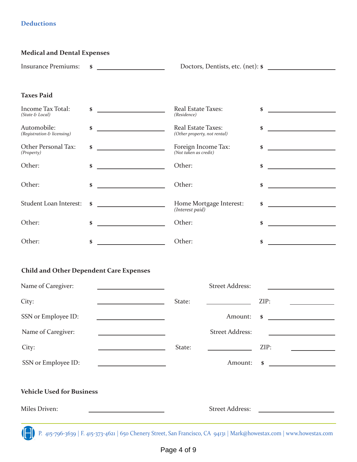# **Deductions**

| <b>Medical and Dental Expenses</b> |                        |                                   |  |  |
|------------------------------------|------------------------|-----------------------------------|--|--|
|                                    | Insurance Premiums: \$ | Doctors, Dentists, etc. (net): \$ |  |  |
|                                    |                        |                                   |  |  |
|                                    |                        |                                   |  |  |
| <b>Taxes Paid</b>                  |                        |                                   |  |  |

| Income Tax Total:<br>(State & Local)      | \$<br><u> 1990 - Johann Barbara, martin a</u>      | <b>Real Estate Taxes:</b><br>(Residence)           | S  |
|-------------------------------------------|----------------------------------------------------|----------------------------------------------------|----|
| Automobile:<br>(Registration & licensing) | \$                                                 | Real Estate Taxes:<br>(Other property, not rental) | \$ |
| Other Personal Tax:<br>(Property)         | \$                                                 | Foreign Income Tax:<br>(Not taken as credit)       | \$ |
| Other:                                    | \$<br>and the company of the company of            | Other:                                             | \$ |
| Other:                                    | \$                                                 | Other:                                             | \$ |
| Student Loan Interest:                    | <u> 1990 - John Barn Barn, mars ar breis</u><br>\$ | Home Mortgage Interest:<br>(Interest paid)         | \$ |
| Other:                                    | \$                                                 | Other:                                             | \$ |
| Other:                                    | \$                                                 | Other:                                             | \$ |

# **Child and Other Dependent Care Expenses**

| Name of Caregiver:               |        | <b>Street Address:</b>                                                                                                                                                                                                               |                                                      |
|----------------------------------|--------|--------------------------------------------------------------------------------------------------------------------------------------------------------------------------------------------------------------------------------------|------------------------------------------------------|
| City:                            | State: |                                                                                                                                                                                                                                      | ZIP:                                                 |
| SSN or Employee ID:              |        | Amount:                                                                                                                                                                                                                              | \$<br><u> 1980 - Jan Barbara Barbara, manazarta </u> |
| Name of Caregiver:               |        | <b>Street Address:</b>                                                                                                                                                                                                               |                                                      |
| City:                            | State: | <u> 1989 - Jan Stein Stein Stein Stein Stein Stein Stein Stein Stein Stein Stein Stein Stein Stein Stein Stein Stein Stein Stein Stein Stein Stein Stein Stein Stein Stein Stein Stein Stein Stein Stein Stein Stein Stein Stein</u> | ZIP:                                                 |
| SSN or Employee ID:              |        | Amount:                                                                                                                                                                                                                              | \$                                                   |
| <b>Vehicle Used for Business</b> |        |                                                                                                                                                                                                                                      |                                                      |
| Miles Driven:                    |        | <b>Street Address:</b>                                                                                                                                                                                                               |                                                      |
| $\mathbf{1}$                     |        |                                                                                                                                                                                                                                      |                                                      |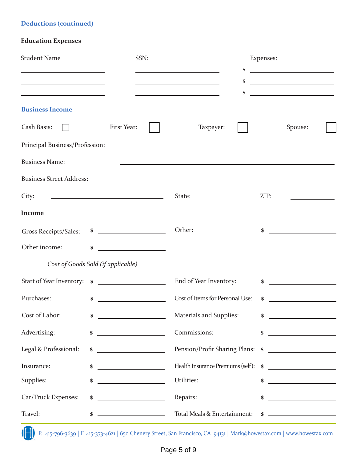# **Deductions (continued)**

# **Education Expenses**

| <b>Student Name</b>                                                                                                                                                                                  | SSN:                                               |                                                                                                                                                                                                          | Expenses:                                                                                                            |
|------------------------------------------------------------------------------------------------------------------------------------------------------------------------------------------------------|----------------------------------------------------|----------------------------------------------------------------------------------------------------------------------------------------------------------------------------------------------------------|----------------------------------------------------------------------------------------------------------------------|
| <u> 1989 - Johann Stoff, deutscher Stoffen und der Stoffen und der Stoffen und der Stoffen und der Stoffen und der</u><br>the control of the control of the control of the control of the control of |                                                    | \$<br>the control of the control of the control of the control of<br>\$                                                                                                                                  | <u> 1980 - John Stone, mars and de la partie de la partie de la partie de la partie de la partie de la partie de</u> |
|                                                                                                                                                                                                      |                                                    | \$                                                                                                                                                                                                       | <u> Alexandria (m. 1858)</u>                                                                                         |
| <b>Business Income</b>                                                                                                                                                                               |                                                    |                                                                                                                                                                                                          |                                                                                                                      |
| Cash Basis:                                                                                                                                                                                          | First Year:                                        | Taxpayer:                                                                                                                                                                                                | Spouse:                                                                                                              |
| Principal Business/Profession:                                                                                                                                                                       |                                                    | <u> 1989 - Johann Johann Stoff, deutscher Stoff, der Stoff, der Stoff, der Stoff, der Stoff, der Stoff, der Stoff</u>                                                                                    |                                                                                                                      |
| <b>Business Name:</b>                                                                                                                                                                                |                                                    |                                                                                                                                                                                                          |                                                                                                                      |
| <b>Business Street Address:</b>                                                                                                                                                                      |                                                    | <u> 1989 - Johann Harry Barn, mars ar breist fan de Fryske kommunent fan de Fryske kommunent fan de Fryske kommun</u>                                                                                    |                                                                                                                      |
| City:                                                                                                                                                                                                | <u> 1989 - Johann Barbara, martin amerikan per</u> | State:<br>$\mathcal{L}^{\mathcal{L}}(\mathcal{L}^{\mathcal{L}})$ and $\mathcal{L}^{\mathcal{L}}(\mathcal{L}^{\mathcal{L}})$ . The contribution of $\mathcal{L}^{\mathcal{L}}(\mathcal{L}^{\mathcal{L}})$ | ZIP:                                                                                                                 |
| <b>Income</b>                                                                                                                                                                                        |                                                    |                                                                                                                                                                                                          |                                                                                                                      |
| Gross Receipts/Sales:                                                                                                                                                                                | $\sim$                                             | Other:                                                                                                                                                                                                   | \$                                                                                                                   |
| Other income:                                                                                                                                                                                        | \$<br><u> 1989 - Johann Barbara, martin a</u>      |                                                                                                                                                                                                          |                                                                                                                      |
|                                                                                                                                                                                                      | Cost of Goods Sold (if applicable)                 |                                                                                                                                                                                                          |                                                                                                                      |
|                                                                                                                                                                                                      | Start of Year Inventory: \$                        | End of Year Inventory:                                                                                                                                                                                   | $\sim$ $\sim$                                                                                                        |
| Purchases:                                                                                                                                                                                           | <u> 1990 - Johann Barbara, martin a</u><br>\$      | Cost of Items for Personal Use:                                                                                                                                                                          | \$                                                                                                                   |
| Cost of Labor:                                                                                                                                                                                       | \$                                                 | Materials and Supplies: \$                                                                                                                                                                               |                                                                                                                      |
| Advertising:                                                                                                                                                                                         | <u> 1990 - Johann Barbara, martin a</u><br>\$      | Commissions:                                                                                                                                                                                             | <u> 1990 - Johann Barbara, martin a</u><br>\$                                                                        |
| Legal & Professional:                                                                                                                                                                                | \$<br><u> 1989 - Johann Barn, fransk politik (</u> | Pension/Profit Sharing Plans: \$                                                                                                                                                                         |                                                                                                                      |
| Insurance:                                                                                                                                                                                           | \$<br><u> 1989 - Johann Barbara, martin basa</u>   | Health Insurance Premiums (self):                                                                                                                                                                        | $\sim$                                                                                                               |
| Supplies:                                                                                                                                                                                            | <u> 1989 - Johann Barbara, martxa a</u><br>\$      | Utilities:                                                                                                                                                                                               | <u> 1989 - Johann Barbara, martin basa</u><br>\$                                                                     |
| Car/Truck Expenses:                                                                                                                                                                                  | <u> 1980 - Johann Barbara, martx</u><br>\$         | Repairs:                                                                                                                                                                                                 | \$<br><u> The Communication of the Communication</u>                                                                 |
| Travel:                                                                                                                                                                                              | <u> 1989 - Johann Barbara, martin a</u><br>\$      | Total Meals & Entertainment:                                                                                                                                                                             |                                                                                                                      |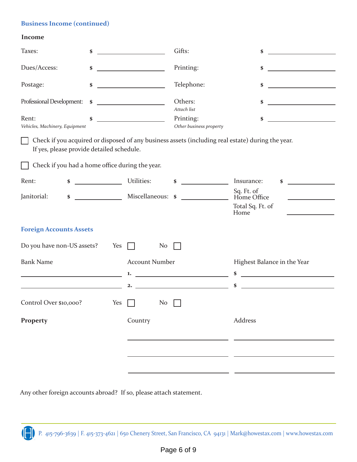## **Business Income (continued)**

#### **Income**

| Taxes:                                                                | \$         |                                                      | Gifts:                                                                               | \$                                                                                                                                                          |
|-----------------------------------------------------------------------|------------|------------------------------------------------------|--------------------------------------------------------------------------------------|-------------------------------------------------------------------------------------------------------------------------------------------------------------|
| Dues/Access:                                                          | \$         |                                                      | Printing:                                                                            | \$<br><u> 1989 - Johann Barbara, martxa a</u>                                                                                                               |
| Postage:                                                              | \$         |                                                      | Telephone:                                                                           | \$                                                                                                                                                          |
| Professional Development:                                             | \$         | <u> 1989 - Johann Barn, fransk politik (</u>         | Others:<br>Attach list                                                               | \$<br><u> 1990 - Johann Barbara, martin a</u>                                                                                                               |
| Rent:<br>Vehicles, Machinery, Equipment                               | \$         | <u> 1980 - John Barn Barn, mars and de Barn Barn</u> | Printing:<br>Other business property                                                 | <u> 1980 - Jan Barbara Barbara, politik politik (</u><br>\$                                                                                                 |
| If yes, please provide detailed schedule.                             |            |                                                      |                                                                                      | Check if you acquired or disposed of any business assets (including real estate) during the year.                                                           |
| Check if you had a home office during the year.                       |            |                                                      |                                                                                      |                                                                                                                                                             |
| Rent:<br>\$                                                           | Utilities: |                                                      | <u> The Communication</u><br>\$                                                      | Insurance:<br>\$                                                                                                                                            |
| Janitorial:<br>\$                                                     |            | Miscellaneous: \$                                    | <u>and the state of the state</u>                                                    | Sq. Ft. of<br>Home Office<br>Total Sq. Ft. of<br>Home                                                                                                       |
| <b>Foreign Accounts Assets</b>                                        |            |                                                      |                                                                                      |                                                                                                                                                             |
| Do you have non-US assets?                                            | Yes        | N <sub>o</sub>                                       |                                                                                      |                                                                                                                                                             |
| <b>Bank Name</b><br><u> 1980 - Johann Barbara, martxa alemaniar a</u> |            | <b>Account Number</b><br>1.<br>2.                    | the control of the control of the control of<br><u> 1989 - Johann Barbara, martx</u> | Highest Balance in the Year<br>\$<br><u> 1989 - Johann Stoff, deutscher Stoffen und der Stoffen und der Stoffen und der Stoffen und der Stoffen und der</u> |
| Control Over \$10,000? Yes No                                         |            |                                                      |                                                                                      |                                                                                                                                                             |
| Property                                                              |            | Country                                              |                                                                                      | Address                                                                                                                                                     |
|                                                                       |            |                                                      |                                                                                      |                                                                                                                                                             |

Any other foreign accounts abroad? If so, please attach statement.

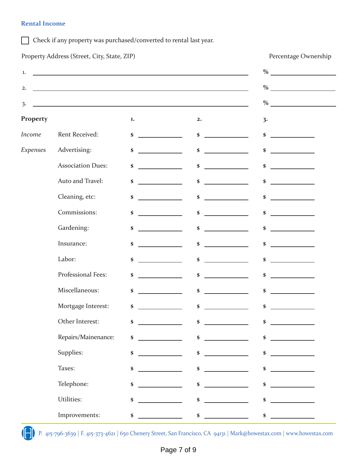## **Rental Income**

Check if any property was purchased/converted to rental last year.

|                | Property Address (Street, City, State, ZIP)                                                                           |                                                                                                                                                                                                                                                                                                                                                                                                                                                              |                                                                                                                                                                                                                                                                                                                                                                                                                                                                      | Percentage Ownership                                                                                                      |
|----------------|-----------------------------------------------------------------------------------------------------------------------|--------------------------------------------------------------------------------------------------------------------------------------------------------------------------------------------------------------------------------------------------------------------------------------------------------------------------------------------------------------------------------------------------------------------------------------------------------------|----------------------------------------------------------------------------------------------------------------------------------------------------------------------------------------------------------------------------------------------------------------------------------------------------------------------------------------------------------------------------------------------------------------------------------------------------------------------|---------------------------------------------------------------------------------------------------------------------------|
| 1.             | <u> 1989 - Johann Stoff, deutscher Stoff, der Stoff, der Stoff, der Stoff, der Stoff, der Stoff, der Stoff, der S</u> |                                                                                                                                                                                                                                                                                                                                                                                                                                                              |                                                                                                                                                                                                                                                                                                                                                                                                                                                                      | $\%$ and $\frac{1}{2}$                                                                                                    |
| 2.             |                                                                                                                       |                                                                                                                                                                                                                                                                                                                                                                                                                                                              |                                                                                                                                                                                                                                                                                                                                                                                                                                                                      |                                                                                                                           |
| $\overline{3}$ |                                                                                                                       |                                                                                                                                                                                                                                                                                                                                                                                                                                                              |                                                                                                                                                                                                                                                                                                                                                                                                                                                                      | $\%$                                                                                                                      |
| Property       |                                                                                                                       | $\mathbf{1}$                                                                                                                                                                                                                                                                                                                                                                                                                                                 | 2.                                                                                                                                                                                                                                                                                                                                                                                                                                                                   | 3.                                                                                                                        |
| Income         | Rent Received:                                                                                                        | \$                                                                                                                                                                                                                                                                                                                                                                                                                                                           | \$                                                                                                                                                                                                                                                                                                                                                                                                                                                                   | \$<br><u> 1999 - John Harry Harry Harry Harry Harry Harry Harry Harry Harry Harry Harry Harry Harry Harry Harry Harry</u> |
| Expenses       | Advertising:                                                                                                          | \$<br><u> 1990 - Jan Barnett, politik politik (</u>                                                                                                                                                                                                                                                                                                                                                                                                          | $\pmb{\$}$<br><u> 1999 - Jan Barbara III, politik politik (</u>                                                                                                                                                                                                                                                                                                                                                                                                      | \$                                                                                                                        |
|                | <b>Association Dues:</b>                                                                                              | \$                                                                                                                                                                                                                                                                                                                                                                                                                                                           | $\pmb{\$}$                                                                                                                                                                                                                                                                                                                                                                                                                                                           | \$                                                                                                                        |
|                | Auto and Travel:                                                                                                      | \$                                                                                                                                                                                                                                                                                                                                                                                                                                                           | \$                                                                                                                                                                                                                                                                                                                                                                                                                                                                   | \$                                                                                                                        |
|                | Cleaning, etc:                                                                                                        | \$                                                                                                                                                                                                                                                                                                                                                                                                                                                           | $\pmb{\$}$                                                                                                                                                                                                                                                                                                                                                                                                                                                           | \$                                                                                                                        |
|                | Commissions:                                                                                                          | \$<br>$\label{eq:2.1} \frac{1}{\sqrt{2}}\left(\frac{1}{\sqrt{2}}\right)^{2} \left(\frac{1}{\sqrt{2}}\right)^{2} \left(\frac{1}{\sqrt{2}}\right)^{2} \left(\frac{1}{\sqrt{2}}\right)^{2} \left(\frac{1}{\sqrt{2}}\right)^{2} \left(\frac{1}{\sqrt{2}}\right)^{2} \left(\frac{1}{\sqrt{2}}\right)^{2} \left(\frac{1}{\sqrt{2}}\right)^{2} \left(\frac{1}{\sqrt{2}}\right)^{2} \left(\frac{1}{\sqrt{2}}\right)^{2} \left(\frac{1}{\sqrt{2}}\right)^{2} \left(\$ | $\pmb{\$}$<br>$\label{eq:2.1} \frac{1}{\sqrt{2}}\left(\frac{1}{\sqrt{2}}\right)^{2} \left(\frac{1}{\sqrt{2}}\right)^{2} \left(\frac{1}{\sqrt{2}}\right)^{2} \left(\frac{1}{\sqrt{2}}\right)^{2} \left(\frac{1}{\sqrt{2}}\right)^{2} \left(\frac{1}{\sqrt{2}}\right)^{2} \left(\frac{1}{\sqrt{2}}\right)^{2} \left(\frac{1}{\sqrt{2}}\right)^{2} \left(\frac{1}{\sqrt{2}}\right)^{2} \left(\frac{1}{\sqrt{2}}\right)^{2} \left(\frac{1}{\sqrt{2}}\right)^{2} \left(\$ | \$<br><u> 1990 - Jan Barnett, politik politik (</u>                                                                       |
|                | Gardening:                                                                                                            | \$                                                                                                                                                                                                                                                                                                                                                                                                                                                           | \$                                                                                                                                                                                                                                                                                                                                                                                                                                                                   | \$                                                                                                                        |
|                | Insurance:                                                                                                            | \$                                                                                                                                                                                                                                                                                                                                                                                                                                                           | $\pmb{\$}$                                                                                                                                                                                                                                                                                                                                                                                                                                                           | \$                                                                                                                        |
|                | Labor:                                                                                                                | \$                                                                                                                                                                                                                                                                                                                                                                                                                                                           | \$                                                                                                                                                                                                                                                                                                                                                                                                                                                                   | \$                                                                                                                        |
|                | Professional Fees:                                                                                                    | \$                                                                                                                                                                                                                                                                                                                                                                                                                                                           | \$                                                                                                                                                                                                                                                                                                                                                                                                                                                                   | \$                                                                                                                        |
|                | Miscellaneous:                                                                                                        | <u>and the state</u><br>\$                                                                                                                                                                                                                                                                                                                                                                                                                                   | <u>and the state</u><br>\$                                                                                                                                                                                                                                                                                                                                                                                                                                           | \$                                                                                                                        |
|                | Mortgage Interest:                                                                                                    | \$                                                                                                                                                                                                                                                                                                                                                                                                                                                           | $\pmb{\$}$                                                                                                                                                                                                                                                                                                                                                                                                                                                           | \$                                                                                                                        |
|                | Other Interest:                                                                                                       | \$                                                                                                                                                                                                                                                                                                                                                                                                                                                           | \$                                                                                                                                                                                                                                                                                                                                                                                                                                                                   | \$                                                                                                                        |
|                | Repairs/Mainenance:                                                                                                   | \$                                                                                                                                                                                                                                                                                                                                                                                                                                                           | \$                                                                                                                                                                                                                                                                                                                                                                                                                                                                   | \$                                                                                                                        |
|                | Supplies:                                                                                                             | \$                                                                                                                                                                                                                                                                                                                                                                                                                                                           | \$                                                                                                                                                                                                                                                                                                                                                                                                                                                                   | \$                                                                                                                        |
|                | Taxes:                                                                                                                | \$                                                                                                                                                                                                                                                                                                                                                                                                                                                           | \$                                                                                                                                                                                                                                                                                                                                                                                                                                                                   | \$                                                                                                                        |
|                | Telephone:                                                                                                            | \$                                                                                                                                                                                                                                                                                                                                                                                                                                                           | \$                                                                                                                                                                                                                                                                                                                                                                                                                                                                   | \$                                                                                                                        |
|                | Utilities:                                                                                                            | \$                                                                                                                                                                                                                                                                                                                                                                                                                                                           | \$                                                                                                                                                                                                                                                                                                                                                                                                                                                                   | \$                                                                                                                        |
|                | Improvements:                                                                                                         | \$                                                                                                                                                                                                                                                                                                                                                                                                                                                           | $\boldsymbol{\$}$<br><u>and the state of the state</u>                                                                                                                                                                                                                                                                                                                                                                                                               | \$                                                                                                                        |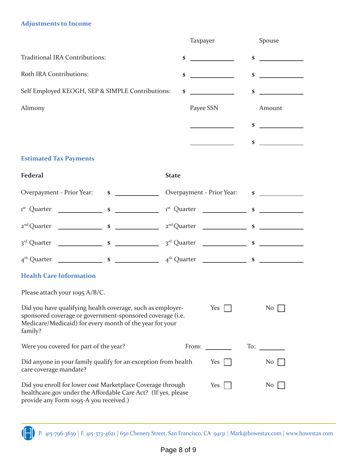# **Adjustments to Income**

|                                                                                                                                                                                               | Taxpayer                  | Spouse                                      |
|-----------------------------------------------------------------------------------------------------------------------------------------------------------------------------------------------|---------------------------|---------------------------------------------|
| Traditional IRA Contributions:                                                                                                                                                                | \$                        | \$                                          |
| Roth IRA Contributions:                                                                                                                                                                       | \$                        | \$<br><u> 1999 - Jan Barnett, politik e</u> |
| Self Employed KEOGH, SEP & SIMPLE Contributions:                                                                                                                                              | \$                        | \$                                          |
| Alimony                                                                                                                                                                                       | Payee SSN                 | Amount                                      |
|                                                                                                                                                                                               |                           | \$                                          |
|                                                                                                                                                                                               |                           | \$                                          |
| <b>Estimated Tax Payments</b>                                                                                                                                                                 |                           |                                             |
| <b>Federal</b>                                                                                                                                                                                | <b>State</b>              |                                             |
| Overpayment - Prior Year: \$                                                                                                                                                                  | Overpayment - Prior Year: | $\sim$ $\sim$                               |
|                                                                                                                                                                                               |                           |                                             |
|                                                                                                                                                                                               |                           |                                             |
|                                                                                                                                                                                               |                           |                                             |
|                                                                                                                                                                                               |                           |                                             |
| <b>Health Care Information</b>                                                                                                                                                                |                           |                                             |
| Please attach your 1095 A/B/C.                                                                                                                                                                |                           |                                             |
| Did you have qualifying health coverage, such as employer-<br>sponsored coverage or government-sponsored coverage (i.e.<br>Medicare/Medicaid) for every month of the year for your<br>family? | Yes                       | N <sub>0</sub>                              |
| Were you covered for part of the year?                                                                                                                                                        | From: $\qquad \qquad$     | $\Gamma$ To: $\Gamma$                       |
| Did anyone in your family qualify for an exception from health<br>care coverage mandate?                                                                                                      | Yes                       | No <sub>1</sub>                             |
| Did you enroll for lower cost Marketplace Coverage through<br>healthcare.gov under the Affordable Care Act? (If yes, please<br>provide any Form 1095-A you received.)                         | Yes                       | N <sub>o</sub>                              |